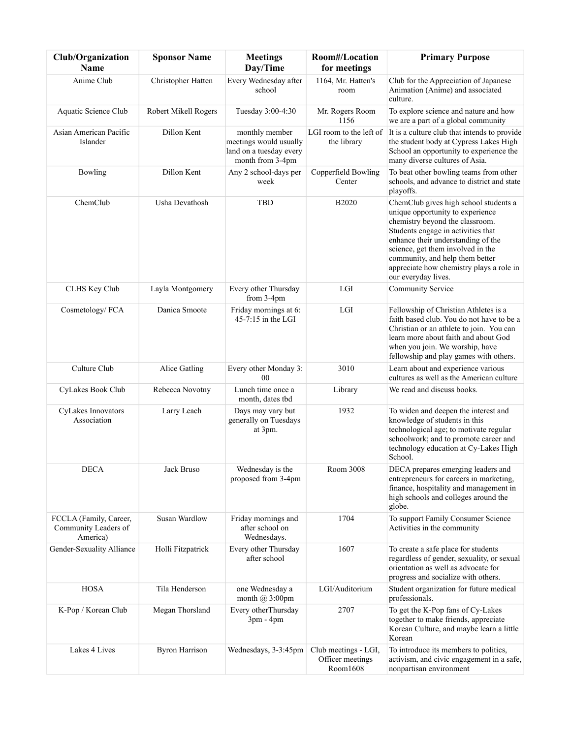| Club/Organization<br>Name                                  | <b>Sponsor Name</b>         | <b>Meetings</b><br>Day/Time                                                             | Room#/Location<br>for meetings                       | <b>Primary Purpose</b>                                                                                                                                                                                                                                                                                                              |
|------------------------------------------------------------|-----------------------------|-----------------------------------------------------------------------------------------|------------------------------------------------------|-------------------------------------------------------------------------------------------------------------------------------------------------------------------------------------------------------------------------------------------------------------------------------------------------------------------------------------|
| Anime Club                                                 | Christopher Hatten          | Every Wednesday after<br>school                                                         | 1164, Mr. Hatten's<br>room                           | Club for the Appreciation of Japanese<br>Animation (Anime) and associated<br>culture.                                                                                                                                                                                                                                               |
| Aquatic Science Club                                       | <b>Robert Mikell Rogers</b> | Tuesday 3:00-4:30                                                                       | Mr. Rogers Room<br>1156                              | To explore science and nature and how<br>we are a part of a global community                                                                                                                                                                                                                                                        |
| Asian American Pacific<br>Islander                         | Dillon Kent                 | monthly member<br>meetings would usually<br>land on a tuesday every<br>month from 3-4pm | LGI room to the left of<br>the library               | It is a culture club that intends to provide<br>the student body at Cypress Lakes High<br>School an opportunity to experience the<br>many diverse cultures of Asia.                                                                                                                                                                 |
| Bowling                                                    | Dillon Kent                 | Any 2 school-days per<br>week                                                           | Copperfield Bowling<br>Center                        | To beat other bowling teams from other<br>schools, and advance to district and state<br>playoffs.                                                                                                                                                                                                                                   |
| ChemClub                                                   | Usha Devathosh              | <b>TBD</b>                                                                              | <b>B2020</b>                                         | ChemClub gives high school students a<br>unique opportunity to experience<br>chemistry beyond the classroom.<br>Students engage in activities that<br>enhance their understanding of the<br>science, get them involved in the<br>community, and help them better<br>appreciate how chemistry plays a role in<br>our everyday lives. |
| CLHS Key Club                                              | Layla Montgomery            | Every other Thursday<br>from 3-4pm                                                      | <b>LGI</b>                                           | Community Service                                                                                                                                                                                                                                                                                                                   |
| Cosmetology/FCA                                            | Danica Smoote               | Friday mornings at 6:<br>$45-7:15$ in the LGI                                           | LGI                                                  | Fellowship of Christian Athletes is a<br>faith based club. You do not have to be a<br>Christian or an athlete to join. You can<br>learn more about faith and about God<br>when you join. We worship, have<br>fellowship and play games with others.                                                                                 |
| Culture Club                                               | Alice Gatling               | Every other Monday 3:<br>0 <sub>0</sub>                                                 | 3010                                                 | Learn about and experience various<br>cultures as well as the American culture                                                                                                                                                                                                                                                      |
| CyLakes Book Club                                          | Rebecca Novotny             | Lunch time once a<br>month, dates tbd                                                   | Library                                              | We read and discuss books.                                                                                                                                                                                                                                                                                                          |
| CyLakes Innovators<br>Association                          | Larry Leach                 | Days may vary but<br>generally on Tuesdays<br>at 3pm.                                   | 1932                                                 | To widen and deepen the interest and<br>knowledge of students in this<br>technological age; to motivate regular<br>schoolwork; and to promote career and<br>technology education at Cy-Lakes High<br>School.                                                                                                                        |
| <b>DECA</b>                                                | Jack Bruso                  | Wednesday is the<br>proposed from 3-4pm                                                 | Room 3008                                            | DECA prepares emerging leaders and<br>entrepreneurs for careers in marketing,<br>finance, hospitality and management in<br>high schools and colleges around the<br>globe.                                                                                                                                                           |
| FCCLA (Family, Career,<br>Community Leaders of<br>America) | <b>Susan Wardlow</b>        | Friday mornings and<br>after school on<br>Wednesdays.                                   | 1704                                                 | To support Family Consumer Science<br>Activities in the community                                                                                                                                                                                                                                                                   |
| Gender-Sexuality Alliance                                  | Holli Fitzpatrick           | Every other Thursday<br>after school                                                    | 1607                                                 | To create a safe place for students<br>regardless of gender, sexuality, or sexual<br>orientation as well as advocate for<br>progress and socialize with others.                                                                                                                                                                     |
| <b>HOSA</b>                                                | Tila Henderson              | one Wednesday a<br>month $\omega$ 3:00pm                                                | LGI/Auditorium                                       | Student organization for future medical<br>professionals.                                                                                                                                                                                                                                                                           |
| K-Pop / Korean Club                                        | Megan Thorsland             | Every otherThursday<br>$3pm - 4pm$                                                      | 2707                                                 | To get the K-Pop fans of Cy-Lakes<br>together to make friends, appreciate<br>Korean Culture, and maybe learn a little<br>Korean                                                                                                                                                                                                     |
| Lakes 4 Lives                                              | <b>Byron Harrison</b>       | Wednesdays, 3-3:45pm                                                                    | Club meetings - LGI,<br>Officer meetings<br>Room1608 | To introduce its members to politics,<br>activism, and civic engagement in a safe,<br>nonpartisan environment                                                                                                                                                                                                                       |